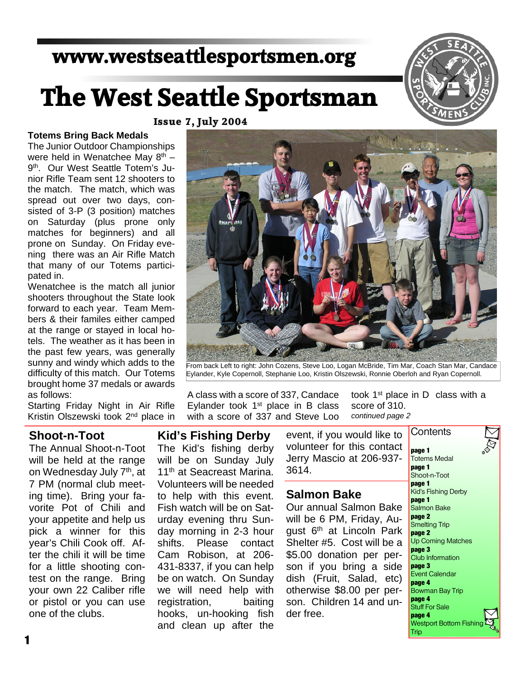# **www.westseattlesportsmen.org**

# **The West Seattle Sportsman**

**Issue 7, July 2004**

#### **Totems Bring Back Medals**

The Junior Outdoor Championships were held in Wenatchee May  $8<sup>th</sup>$  – 9th. Our West Seattle Totem's Ju nior Rifle Team sent 12 shooters to the match. The match, which was spread out over two days, con sisted of 3-P (3 position) matches on Saturday (plus prone only matches for beginners) and all prone on Sunday. On Friday eve ning there was an Air Rifle Match that many of our Totems partici pated in.

Wenatchee is the match all junior shooters throughout the State look forward to each year. Team Mem bers & their familes either camped at the range or stayed in local ho tels. The weather as it has been in the past few years, was generally sunny and windy which adds to the difficulty of this match. Our Totems brought home 37 medals or awards as follows:

Starting Friday Night in Air Rifle Kristin Olszewski took 2nd place in

# **Shoot-n-Toot**

The Annual Shoot-n-Toot will be held at the range on Wednesday July 7th, at 7 PM (normal club meet ing time). Bring your fa vorite Pot of Chili and your appetite and help us pick a winner for this year's Chili Cook off. Af ter the chili it will be time for a little shooting con test on the range. Bring your own 22 Caliber rifle or pistol or you can use one of the clubs.

# **Kid's Fishing Derby** The Kid's fishing derby will be on Sunday July Eylander took 1<sup>st</sup> place in B class with a score of 337 and Steve Loo

A class with a score of 337, Candace

11<sup>th</sup> at Seacreast Marina. Volunteers will be needed to help with this event. Fish watch will be on Sat urday evening thru Sun day morning in 2-3 hour shifts. Please contact Cam Robison, at 206- 431-8337, if you can help be on watch. On Sunday we will need help with registration, baiting hooks, un-hooking fish and clean up after the

event, if you would like to volunteer for this contact Jerry Mascio at 206-937- 3614. **Contents** 

Eylander, Kyle Copernoll, Stephanie Loo, Kristin Olszewski, Ronnie Oberloh and Ryan Copernoll.

# **Salmon Bake**

Our annual Salmon Bake will be 6 PM, Friday, Au gust 6<sup>th</sup> at Lincoln Park Shelter #5. Cost will be a \$5.00 donation per person if you bring a side dish (Fruit, Salad, etc) otherwise \$8.00 per per son. Children 14 and un der free.

took 1st place in D class with a score of 310. *continued page 2*

**Trip** 





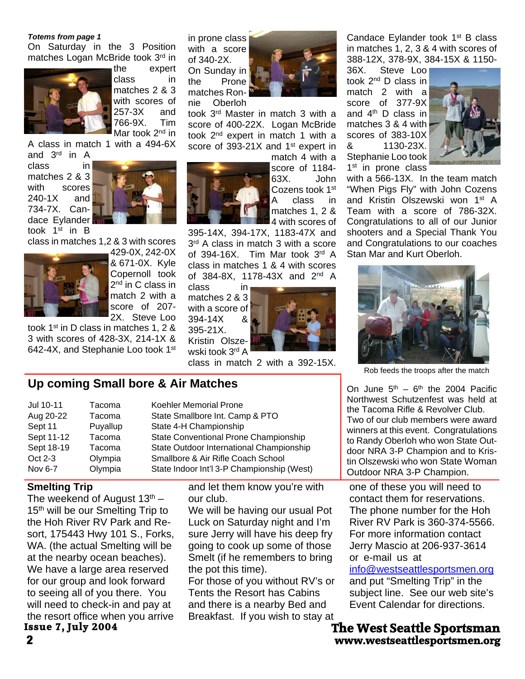#### *Totems from page 1*

On Saturday in the 3 Position matches Logan McBride took 3rd in



the expert class in matches 2 & 3 with scores of 257-3X and<br>766-9X Tim 766-9X. Mar took 2<sup>nd</sup> in

A class in match 1 with a 494-6X

and  $3<sup>rd</sup>$  in A<br>class in class in matches 2 & 3 with scores 240-1X and 734-7X. Can dace Eylander

took 1<sup>st</sup> in B

class in matches 1,2 & 3 with scores



429-0X, 242-0X & 671-0X. Kyle Copernoll took 2<sup>nd</sup> in C class in match 2 with a score of 207- 2X. Steve Loo

took 1st in D class in matches 1, 2 & 3 with scores of 428-3X, 214-1X & 642-4X, and Stephanie Loo took 1st in prone class with a score of 340-2X. On Sunday in the Prone matches Ron nie Oberloh



took 3rd Master in match 3 with a score of 400-22X. Logan McBride took 2nd expert in match 1 with a score of 393-21X and 1<sup>st</sup> expert in

> match 4 with a score of 1184- 63X. John Cozens took 1<sup>st</sup> A class in matches 1, 2 & 4 with scores of

395-14X, 394-17X, 1183-47X and 3<sup>rd</sup> A class in match 3 with a score of 394-16X. Tim Mar took 3rd A class in matches 1 & 4 with scores of 384-8X, 1178-43X and 2<sup>nd</sup> A

class in matches 2 & 3 with a score of  $394-14X$  $394 - 14X$ 395-21X.

Kristin Olsze wski took 3rd A



class in match 2 with a 392-15X.

# **Up coming Small bore & Air Matches**

| Jul 10-11  | Tacoma   | Koehler Memorial Prone                     |
|------------|----------|--------------------------------------------|
| Aug 20-22  | Tacoma   | State Smallbore Int. Camp & PTO            |
| Sept 11    | Puyallup | State 4-H Championship                     |
| Sept 11-12 | Tacoma   | State Conventional Prone Championship      |
| Sept 18-19 | Tacoma   | State Outdoor International Championship   |
| Oct 2-3    | Olympia  | Smallbore & Air Rifle Coach School         |
| Nov 6-7    | Olympia  | State Indoor Int'l 3-P Championship (West) |
|            |          |                                            |

#### **Smelting Trip**

The weekend of August  $13<sup>th</sup>$  – 15<sup>th</sup> will be our Smelting Trip to the Hoh River RV Park and Re sort, 175443 Hwy 101 S., Forks, WA. (the actual Smelting will be at the nearby ocean beaches). We have a large area reserved for our group and look forward to seeing all of you there. You will need to check-in and pay at the resort office when you arrive **Issue 7, July 2004**

and let them know you're with our club.

We will be having our usual Pot Luck on Saturday night and I'm sure Jerry will have his deep fry going to cook up some of those Smelt (if he remembers to bring the pot this time).

For those of you without RV's or Tents the Resort has Cabins and there is a nearby Bed and Breakfast. If you wish to stay at

Candace Eylander took 1<sup>st</sup> B class in matches 1, 2, 3 & 4 with scores of 388-12X, 378-9X, 384-15X & 1150-

Steve Loo took 2nd D class in match 2 with a score of 377-9X and  $4<sup>th</sup>$  D class in matches 3 & 4 with scores of 383-10X & 1130-23X. Stephanie Loo took 1<sup>st</sup> in prone class



with a 566-13X. In the team match "When Pigs Fly" with John Cozens and Kristin Olszewski won 1st A Team with a score of 786-32X. Congratulations to all of our Junior shooters and a Special Thank You and Congratulations to our coaches Stan Mar and Kurt Oberloh.



Rob feeds the troops after the match

On June  $5<sup>th</sup> - 6<sup>th</sup>$  the 2004 Pacific Northwest Schutzenfest was held at the Tacoma Rifle & Revolver Club. Two of our club members were award winners at this event. Congratulations to Randy Oberloh who won State Out door NRA 3-P Champion and to Kris tin Olszewski who won State Woman Outdoor NRA 3-P Champion.

one of these you will need to contact them for reservations. The phone number for the Hoh River RV Park is 360-374-5566. For more information contact Jerry Mascio at 206-937-3614 or e-mail us at

info@westseattlesportsmen.org and put "Smelting Trip" in the subject line. See our web site's Event Calendar for directions.

**2 www.westseattlesportsmen.org The West Seattle Sportsman**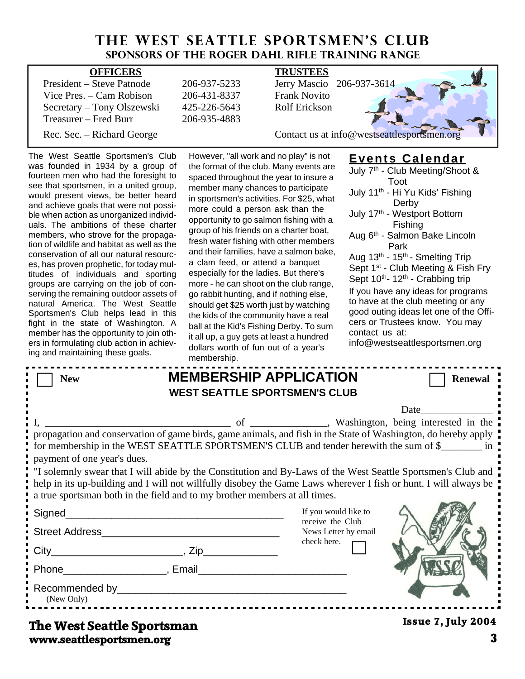# **THE WEST SEATTLE SPORTSMEN'S CLUB Sponsors of the Roger Dahl Rifle Training Range**

| <b>OFFICERS</b>            |              | <b>TRUSTEES</b>                             |
|----------------------------|--------------|---------------------------------------------|
| President – Steve Patnode  | 206-937-5233 | Jerry Mascio 206-937-3614                   |
| Vice Pres. $-$ Cam Robison | 206-431-8337 | <b>Frank Novito</b>                         |
| Secretary – Tony Olszewski | 425-226-5643 | <b>Rolf Erickson</b>                        |
| Treasurer – Fred Burr      | 206-935-4883 |                                             |
| Rec. Sec. – Richard George |              | Contact us at info@westseattlesportsmen.org |

The West Seattle Sportsmen's Club was founded in 1934 by a group of fourteen men who had the f see that sportsmen, in a ur would present views, be b and achieve goals that were ble when action as unorgani uals. The ambitions of the members, who strove for the tion of wildlife and habitat as conservation of all our natu es, has proven prophetic, for titudes of individuals an groups are carrying on the serving the remaining outdo natural America. The W Sportsmen's Club helps le fight in the state of Was member has the opportunity ers in formulating club actio ing and maintaining these go

However, "all work and no play" is not the format of the club. Many events are member many chances to participate more could a person ask than the group of his friends on a charter boat, a clam feed, or attend a banquet especially for the ladies. But there's go rabbit hunting, and if nothing else, should get \$25 worth just by watching the kids of the community have a real it all up, a guy gets at least a hundred dollars worth of fun out of a year's membership.

------------

#### **Events Calendar** July 7th - Club Meeting/Shoot &

| purteen men wno nad the foresignt to<br>ee that sportsmen, in a united group,<br>vould present views, be better heard<br>ind achieve goals that were not possi-<br>le when action as unorganized individ-<br>als. The ambitions of these charter<br>nembers, who strove for the propaga-<br>on of wildlife and habitat as well as the<br>onservation of all our natural resourc-<br>s, has proven prophetic, for today mul-<br>tudes of individuals and sporting<br>roups are carrying on the job of con-<br>erving the remaining outdoor assets of<br>atural America. The West Seattle<br>Sportsmen's Club helps lead in this<br>ght in the state of Washington. A<br>nember has the opportunity to join oth-<br>irs in formulating club action in achiev-<br>ng and maintaining these goals. | spaced throughout the year to insure a<br>member many chances to participate<br>in sportsmen's activities. For \$25, what<br>more could a person ask than the<br>opportunity to go salmon fishing with a<br>group of his friends on a charter boat,<br>fresh water fishing with other members<br>and their families, have a salmon bake,<br>a clam feed, or attend a banquet<br>especially for the ladies. But there's<br>more - he can shoot on the club range,<br>go rabbit hunting, and if nothing else,<br>should get \$25 worth just by watching<br>the kids of the community have a real<br>ball at the Kid's Fishing Derby. To sum<br>it all up, a guy gets at least a hundred<br>dollars worth of fun out of a year's<br>membership. | Toot<br>July 11 <sup>th</sup> - Hi Yu Kids' Fishing<br>Derby<br>July 17th - Westport Bottom<br>Fishing<br>Aug 6 <sup>th</sup> - Salmon Bake Lincoln<br>Park<br>Aug 13 <sup>th</sup> - 15 <sup>th</sup> - Smelting Trip<br>Sept 1 <sup>st</sup> - Club Meeting & Fish Fry<br>Sept 10th- 12th - Crabbing trip<br>If you have any ideas for programs<br>to have at the club meeting or any<br>good outing ideas let one of the Offi-<br>cers or Trustees know. You may<br>contact us at:<br>info@westseattlesportsmen.org |
|------------------------------------------------------------------------------------------------------------------------------------------------------------------------------------------------------------------------------------------------------------------------------------------------------------------------------------------------------------------------------------------------------------------------------------------------------------------------------------------------------------------------------------------------------------------------------------------------------------------------------------------------------------------------------------------------------------------------------------------------------------------------------------------------|----------------------------------------------------------------------------------------------------------------------------------------------------------------------------------------------------------------------------------------------------------------------------------------------------------------------------------------------------------------------------------------------------------------------------------------------------------------------------------------------------------------------------------------------------------------------------------------------------------------------------------------------------------------------------------------------------------------------------------------------|------------------------------------------------------------------------------------------------------------------------------------------------------------------------------------------------------------------------------------------------------------------------------------------------------------------------------------------------------------------------------------------------------------------------------------------------------------------------------------------------------------------------|
| <b>New</b>                                                                                                                                                                                                                                                                                                                                                                                                                                                                                                                                                                                                                                                                                                                                                                                     | <b>MEMBERSHIP APPLICATION</b><br><b>WEST SEATTLE SPORTSMEN'S CLUB</b>                                                                                                                                                                                                                                                                                                                                                                                                                                                                                                                                                                                                                                                                        | <b>Renewal</b>                                                                                                                                                                                                                                                                                                                                                                                                                                                                                                         |
|                                                                                                                                                                                                                                                                                                                                                                                                                                                                                                                                                                                                                                                                                                                                                                                                |                                                                                                                                                                                                                                                                                                                                                                                                                                                                                                                                                                                                                                                                                                                                              | Date                                                                                                                                                                                                                                                                                                                                                                                                                                                                                                                   |
| payment of one year's dues.<br>a true sportsman both in the field and to my brother members at all times.                                                                                                                                                                                                                                                                                                                                                                                                                                                                                                                                                                                                                                                                                      |                                                                                                                                                                                                                                                                                                                                                                                                                                                                                                                                                                                                                                                                                                                                              | propagation and conservation of game birds, game animals, and fish in the State of Washington, do hereby apply<br>for membership in the WEST SEATTLE SPORTSMEN'S CLUB and tender herewith the sum of \$<br>"I solemnly swear that I will abide by the Constitution and By-Laws of the West Seattle Sportsmen's Club and<br>help in its up-building and I will not willfully disobey the Game Laws wherever I fish or hunt. I will always be                                                                            |
|                                                                                                                                                                                                                                                                                                                                                                                                                                                                                                                                                                                                                                                                                                                                                                                                |                                                                                                                                                                                                                                                                                                                                                                                                                                                                                                                                                                                                                                                                                                                                              | If you would like to<br>receive the Club                                                                                                                                                                                                                                                                                                                                                                                                                                                                               |
|                                                                                                                                                                                                                                                                                                                                                                                                                                                                                                                                                                                                                                                                                                                                                                                                |                                                                                                                                                                                                                                                                                                                                                                                                                                                                                                                                                                                                                                                                                                                                              | News Letter by email                                                                                                                                                                                                                                                                                                                                                                                                                                                                                                   |
|                                                                                                                                                                                                                                                                                                                                                                                                                                                                                                                                                                                                                                                                                                                                                                                                | check here.                                                                                                                                                                                                                                                                                                                                                                                                                                                                                                                                                                                                                                                                                                                                  |                                                                                                                                                                                                                                                                                                                                                                                                                                                                                                                        |
|                                                                                                                                                                                                                                                                                                                                                                                                                                                                                                                                                                                                                                                                                                                                                                                                |                                                                                                                                                                                                                                                                                                                                                                                                                                                                                                                                                                                                                                                                                                                                              |                                                                                                                                                                                                                                                                                                                                                                                                                                                                                                                        |
|                                                                                                                                                                                                                                                                                                                                                                                                                                                                                                                                                                                                                                                                                                                                                                                                |                                                                                                                                                                                                                                                                                                                                                                                                                                                                                                                                                                                                                                                                                                                                              |                                                                                                                                                                                                                                                                                                                                                                                                                                                                                                                        |
|                                                                                                                                                                                                                                                                                                                                                                                                                                                                                                                                                                                                                                                                                                                                                                                                |                                                                                                                                                                                                                                                                                                                                                                                                                                                                                                                                                                                                                                                                                                                                              |                                                                                                                                                                                                                                                                                                                                                                                                                                                                                                                        |

# **www.seattlesportsmen.org 3 The West Seattle Sportsman**

(New Only)

 **Issue 7, July 2004**